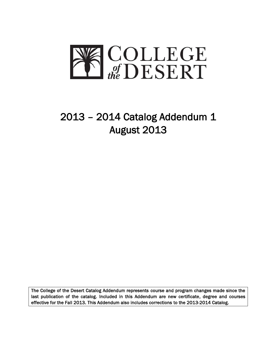

# 2013 – 2014 Catalog Addendum 1 August 2013

The College of the Desert Catalog Addendum represents course and program changes made since the last publication of the catalog. Included in this Addendum are new certificate, degree and courses effective for the Fall 2013. This Addendum also includes corrections to the 2013-2014 Catalog.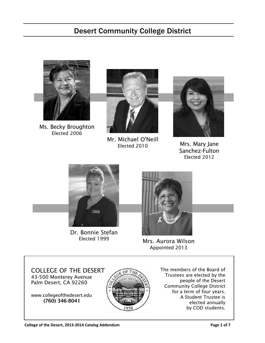# Desert Community College District



Ms. Becky Broughton Elected 2006



Mr. Michael O'Neill Elected 2010



Mrs. Mary Jane Sanchez-Fulton Elected 2012



Dr. Bonnie Stefan Elected 1999



Mrs. Aurora Wilson Appointed 2013

COLLEGE OF THE DESERT 43-500 Monterey Avenue Palm Desert, CA 92260

www.collegeofthedesert.edu (760) 346-8041



The members of the Board of Trustees are elected by the people of the Desert Community College District for a term of four years. A Student Trustee is elected annually by COD students.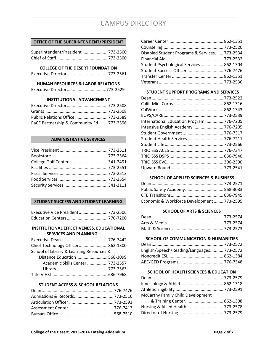# **OFFICE OF THE SUPERINTENDENT/PRESIDENT**

| Superintendent/President 773-2500 |  |
|-----------------------------------|--|
|                                   |  |

# **COLLEGE OF THE DESERT FOUNDATION**

```
Executive Director.................................. 773-2561
```
# **HUMAN RESOURCES & LABOR RELATIONS**

|  |  |  |  | Executive Director 773-2529 |
|--|--|--|--|-----------------------------|
|--|--|--|--|-----------------------------|

# **INSTITUTIONAL ADVANCEMENT**

| Public Relations Office  773-2589         |  |
|-------------------------------------------|--|
| PaCE Partnership & Community Ed  773-2596 |  |

# **ADMINISTRATIVE SERVICES**

# **STUDENT SUCCESS AND STUDENT LEARNING**

| Executive Vice President 773-2506 |  |
|-----------------------------------|--|
|                                   |  |

# **INSTITUTIONAL EFFECTIVENESS, EDUCATIONAL SERVICES AND PLANNING**

| Chief Technology Officer 862-1300        |  |
|------------------------------------------|--|
| School of Library & Learning Resources & |  |
| Distance Education 568-3099              |  |
| Academic Skills Center  773-2557         |  |
|                                          |  |
|                                          |  |

# **STUDENT ACCESS & SCHOOL RELATIONS**

| Disabled Student Programs & Services 773-2534 |  |
|-----------------------------------------------|--|
|                                               |  |
| Student Psychological Services  862-1304      |  |
| Student Success Officer  776-7476             |  |
|                                               |  |
|                                               |  |
|                                               |  |

# **STUDENT SUPPORT PROGRAMS AND SERVICES**

| International Education Program  776-7205 |
|-------------------------------------------|
| Intensive English Academy  776-7205       |
| Student Government  776-7317              |
| Student Health Services 776-7211          |
|                                           |
|                                           |
|                                           |
|                                           |
|                                           |
|                                           |

# **SCHOOL OF APPLIED SCIENCES & BUSINESS**

| Public Safety Academy 568-3083             |  |
|--------------------------------------------|--|
|                                            |  |
| Economic & Workforce Development  773-2595 |  |

# **SCHOOL OF ARTS & SCIENCES**

# **SCHOOL OF COMMUNICATION & HUMANITIES**

| English/Speech/Reading/Languages 773-2572 |  |
|-------------------------------------------|--|
|                                           |  |
|                                           |  |

# **SCHOOL OF HEALTH SCIENCES & EDUCATION**

| Kinesiology & Athletics  862-1318 |              |
|-----------------------------------|--------------|
|                                   |              |
| McCarthy Family Child Development |              |
| 8. Training Cantar                | $962 - 1209$ |

| Nursing & Allied Health 773-2578 |  |
|----------------------------------|--|
|                                  |  |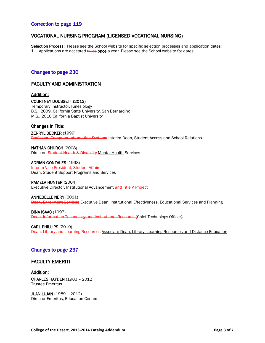# Correction to page 119

# VOCATIONAL NURSING PROGRAM (LICENSED VOCATIONAL NURSING)

Selection Process: Please see the School website for specific selection processes and application dates: 1. Applications are accepted twice once a year. Please see the School website for dates.

# Changes to page 230

# FACULTY AND ADMINISTRATION

### Addition:

#### COURTNEY DOUSSETT (2013)

Temporary Instructor, Kinesiology B.S., 2009, California State University, San Bernardino M.S., 2010 California Baptist University

# Changes in Title:

ZERRYL BECKER (1999) Professor, Computer Information Systems Interim Dean, Student Access and School Relations

NATHAN CHURCH (2008) Director, Student Health & Disability Mental Health Services

ADRIAN GONZALES (1998) Interim Vice President, Student Affairs Dean, Student Support Programs and Services

PAMELA HUNTER (2004) Executive Director, Institutional Advancement and Title V Project

ANNEBELLE NERY (2011) Dean, Enrollment Services Executive Dean, Institutional Effectiveness, Educational Services and Planning

**BINA ISAAC (1997)** Dean, Information Technology and Institutional Research (Chief Technology Officer)

CARL PHILLIPS (2010) Dean, Library and Learning Resources Associate Dean, Library, Learning Resources and Distance Education

# Changes to page 237

# FACULTY EMERITI

# Addition:

CHARLES HAYDEN (1983 – 2012) Trustee Emeritus

JUAN LUJAN (1989 – 2012) Director Emeritus, Education Centers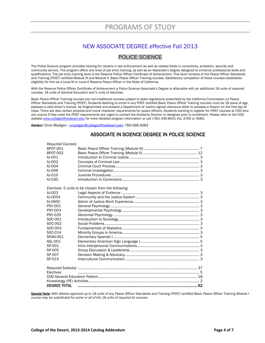# NEW ASSOCIATE DEGREE effective Fall 2013

# POLICE SCIENCE

The Police Science program provides training for careers in law enforcement as well as related fields in corrections, probation, security and community service. The program offers one level of job entry training, as well as an Associate's Degree designed to enhance professional skills and qualifications. The job entry training level is the Reserve Police Officer Certificate of Achievement. This level consists of the Peace Officer Standards and Training (POST) certified Module III and Module II, Basic Peace Officer Training courses. Satisfactory completion of these courses establishes eligibility for hire as a Level-III or Level-II Reserve Peace Officer in the State of California.

With the Reserve Police Officer Certificate of Achievement a Police Science Associate's Degree is attainable with an additional 18 units of required courses, 18 units of General Education and 5 units of electives.

Basic Peace Officer Training courses are non-traditional courses subject to state regulations prescribed by the California Commission on Peace Officer Standards and Training (POST). Students desiring to enroll in any POST certified Basic Peace Officer Training courses must be 18 years of age, possess a valid driver's license, be fingerprinted and present a Department of Justice signed clearance letter to possess a firearm on the first day of class. There are also certain physical and moral character requirements for peace officers. Students wanting to register for POST courses at COD who are unsure if they meet the POST requirements are urged to contact the Academy Director or designee prior to enrollment. Please refer to the COD websit[e www.collegeofthedesert.edu](http://www.collegeofthedesert.edu/) for more detailed program information or call (760) 346-8041 Ext. 3765 or 3083.

Advisor: Chris Madigan [- cmadigan@collegeofthedesert.edu;](mailto:cmadigan@collegeofthedesert.edu) 760-568-3083

# ASSOCIATE IN SCIENCE DEGREE IN POLICE SCIENCE

| <b>Required Courses:</b> |                                                     |
|--------------------------|-----------------------------------------------------|
| <b>BPOT-001</b>          |                                                     |
| <b>BPOT-002</b>          |                                                     |
| AJ-001                   |                                                     |
| AJ-002                   |                                                     |
| AJ-004                   |                                                     |
| AJ-006                   |                                                     |
| AJ-010                   |                                                     |
| AJ-030                   |                                                     |
|                          | Electives: 5 units to be chosen from the following: |
| AJ-003                   |                                                     |
| AJ-005A                  |                                                     |
| AJ-095C                  |                                                     |
| PSY-001                  |                                                     |
| <b>PSY-003</b>           |                                                     |
| <b>PSY-029</b>           |                                                     |
| SOC-001                  |                                                     |
| SOC-002                  |                                                     |
| SOC-003                  |                                                     |
| SOC-014                  |                                                     |
| <b>SPAN-001</b>          |                                                     |
| ASL-001                  |                                                     |
| SP-001                   |                                                     |
| SP-005                   |                                                     |
| SP-007                   |                                                     |
| SP-015                   |                                                     |
|                          |                                                     |
| Electives                |                                                     |
|                          |                                                     |
|                          |                                                     |
| <b>DEGREE TOTAL</b>      |                                                     |

Special Note: With Advisor approval up to 18 units of any Peace Officer Standards and Training (POST) certified Basic Peace Officer Training Module I *course may be substituted for some or all of the 18 units of required AJ courses.*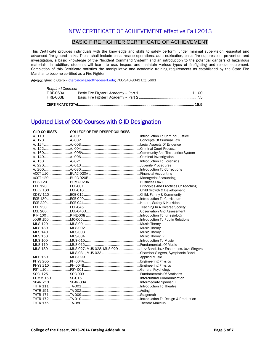# NEW CERTIFICATE OF ACHIEVEMENT effective Fall 2013

# BASIC FIRE FIGHTER CERTIFICATE OF ACHIEVEMENT

This Certificate provides individuals with the knowledge and skills to safely perform, under minimal supervision, essential and advanced fire ground tasks. These shall include basic rescue operations, auto extrication, basic fire suppression, prevention and investigation, a basic knowledge of the "Incident Command System" and an introduction to the potential dangers of hazardous materials. In addition, students will learn to use, inspect and maintain various types of firefighting and rescue equipment. Completion of this Certificate satisfies the manipulative and academic training requirements as established by the State Fire Marshal to become certified as a Fire Fighter I.

Advisor: Ignacio Otero [- iotero@collegeofthedesert.edu;](mailto:iotero@collegeofthedesert.edu) 760-346-8041 Ext. 5691

| <b>Required Courses:</b> |  |  |
|--------------------------|--|--|
| FIRE-063A                |  |  |
| FIRE-063B                |  |  |
|                          |  |  |

# Updated List of COD Courses with C-ID Designation

| <b>C-ID COURSES</b> | <b>COLLEGE OF THE DESERT COURSES</b>                                       |  |
|---------------------|----------------------------------------------------------------------------|--|
|                     |                                                                            |  |
|                     |                                                                            |  |
|                     |                                                                            |  |
|                     |                                                                            |  |
|                     |                                                                            |  |
|                     |                                                                            |  |
|                     |                                                                            |  |
|                     |                                                                            |  |
|                     |                                                                            |  |
|                     |                                                                            |  |
|                     |                                                                            |  |
|                     |                                                                            |  |
|                     |                                                                            |  |
|                     |                                                                            |  |
|                     |                                                                            |  |
|                     |                                                                            |  |
|                     |                                                                            |  |
|                     |                                                                            |  |
|                     |                                                                            |  |
|                     |                                                                            |  |
|                     |                                                                            |  |
|                     |                                                                            |  |
|                     |                                                                            |  |
|                     |                                                                            |  |
|                     |                                                                            |  |
|                     |                                                                            |  |
|                     |                                                                            |  |
|                     | MUS 180 MUS-027, MUS-028, MUS-029 Jazz Band, Jazz Ensembles, Jazz Singers, |  |
|                     |                                                                            |  |
|                     |                                                                            |  |
|                     |                                                                            |  |
|                     |                                                                            |  |
|                     |                                                                            |  |
|                     |                                                                            |  |
|                     |                                                                            |  |
|                     |                                                                            |  |
|                     |                                                                            |  |
|                     |                                                                            |  |
|                     |                                                                            |  |
|                     |                                                                            |  |
|                     |                                                                            |  |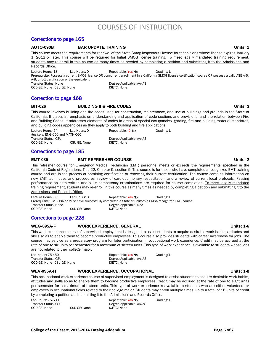# Corrections to page 165

#### **AUTO-090B BAR UPDATE TRAINING Units: 1**

This course meets the requirements for renewal of the State Smog Inspectors License for technicians whose license expires January 1, 2012 or later. This course will be required for Initial SMOG license training. To meet legally mandated training requirement, students may re-enroll in this course as many times as needed by completing a petition and submitting it to the Admissions and Records Office.

Lecture Hours: 18 Lab Hours: 0 Repeatable: Yes No Grading: L Prerequisite: Possess a current SMOG license OR concurrent enrollment in a California SMOG license certification course OR possess a valid ASE A-6, A-8, or L-1 certification or the equivalent. Transfer Status: None Degree Applicable: AA/AS COD GE: None CSU GE: None IGETC: None

# Correction to page 168

### **BIT-026 BUILDING II & FIRE CODES Units: 3**

This course involves building and fire codes used for construction, maintenance, and use of buildings and grounds in the State of California. It places an emphasis on understanding and application of code sections and provisions, and the relation between Fire and Building Codes. It addresses elements of codes in areas of special occupancies, grading, fire and building material standards, and building codes appendices as they apply to both building and fire applications.

Lecture Hours: 54 Lab Hours: 0 Repeatable: 2 No Grading: L *Advisory:* ENG-050 and MATH-060 Transfer Status: CSU Degree Applicable: AA/AS<br>COD GE: None CSU GE: None GETC: None COD GE: None CSU GE: None IGETC: None

# Corrections to page 185

### **EMT-085 EMT REFRESHER COURSE Units: 2**

This refresher course for Emergency Medical Technician (EMT) personnel meets or exceeds the requirements specified in the California Code of Regulations, Title 22, Chapter 5, section 9. This course is for those who have completed a recognized EMT training course and are in the process of obtaining certification or renewing their current certification. The course contains information on new EMT techniques and procedures, review of cardiopulmonary resuscitation, and a review of current local protocols. Passing performance on both written and skills competency examinations are required for course completion. To meet legally mandated training requirement, students may re-enroll in this course as many times as needed by completing a petition and submitting it to the Admissions and Records Office.

Lecture Hours: 36 Lab Hours: 0 Repeatable: Yes No Grading: L Prerequisite: EMT-084 or Must have successfully completed a State of California EMSA recognized EMT course. Transfer Status: None Degree Applicable: NAA COD GE: None CSU GE: None IGETC: None

# Corrections to page 228

# **WEG-095A-F WORK EXPERIENCE, GENERAL Units: 1-6**

This work experience course of supervised employment is designed to assist students to acquire desirable work habits, attitudes and skills so as to enable them to become productive employees. This course also provides students with career awareness for jobs. The course may service as a preparatory program for later participation in occupational work experience. Credit may be accrued at the rate of one to six units per semester for a maximum of sixteen units. This type of work experience is available to students whose jobs are not related to their college major.

Lab Hours: 75-450 **Repeatable: Yes No** Grading: L Transfer Status: CSU Degree Applicable: AA/AS COD GE: None CSU GE: None IGETC: None

WEV-095A-H WORK EXPERIENCE, OCCUPATIONAL **WEV-095A-H** Units: 1-8

This occupational work experience course of supervised employment is designed to assist students to acquire desirable work habits, attitudes and skills so as to enable them to become productive employees. Credit may be accrued at the rate of one to eight units per semester for a maximum of sixteen units. This type of work experience is available to students who are either volunteers or employees in occupational fields related to their college major. Students may enroll multiple times, up to a total of 16 units of credit by completing a petition and submitting it to the Admissions and Records Office.

| Lab Hours: 75-600    |              | Repeatable: Yes No       | Grading: L |
|----------------------|--------------|--------------------------|------------|
| Transfer Status: CSU |              | Degree Applicable: AA/AS |            |
| COD GE: None         | CSU GE: None | <b>IGETC: None</b>       |            |

#### **College of the Desert, 2013-2014 Catalog Addendum Page 6 of 7**